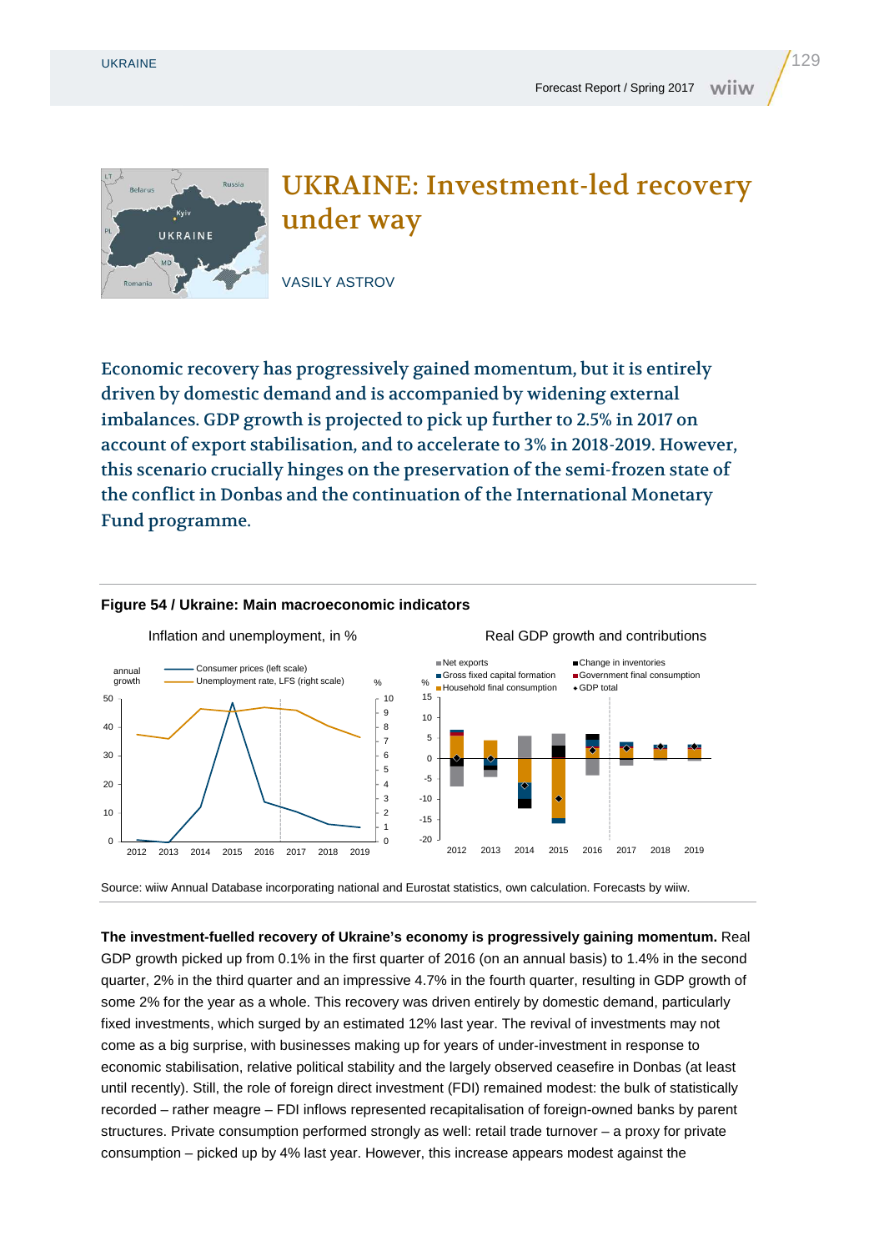Belarus

UKRAINE



UKRAINE: Investment-led recovery under way

VASILY ASTROV

Economic recovery has progressively gained momentum, but it is entirely driven by domestic demand and is accompanied by widening external imbalances. GDP growth is projected to pick up further to 2.5% in 2017 on account of export stabilisation, and to accelerate to 3% in 2018-2019. However, this scenario crucially hinges on the preservation of the semi-frozen state of the conflict in Donbas and the continuation of the International Monetary Fund programme.



## **Figure 54 / Ukraine: Main macroeconomic indicators**

Source: wiiw Annual Database incorporating national and Eurostat statistics, own calculation. Forecasts by wiiw.

**The investment-fuelled recovery of Ukraine's economy is progressively gaining momentum.** Real GDP growth picked up from 0.1% in the first quarter of 2016 (on an annual basis) to 1.4% in the second quarter, 2% in the third quarter and an impressive 4.7% in the fourth quarter, resulting in GDP growth of some 2% for the year as a whole. This recovery was driven entirely by domestic demand, particularly fixed investments, which surged by an estimated 12% last year. The revival of investments may not come as a big surprise, with businesses making up for years of under-investment in response to economic stabilisation, relative political stability and the largely observed ceasefire in Donbas (at least until recently). Still, the role of foreign direct investment (FDI) remained modest: the bulk of statistically recorded – rather meagre – FDI inflows represented recapitalisation of foreign-owned banks by parent structures. Private consumption performed strongly as well: retail trade turnover – a proxy for private consumption – picked up by 4% last year. However, this increase appears modest against the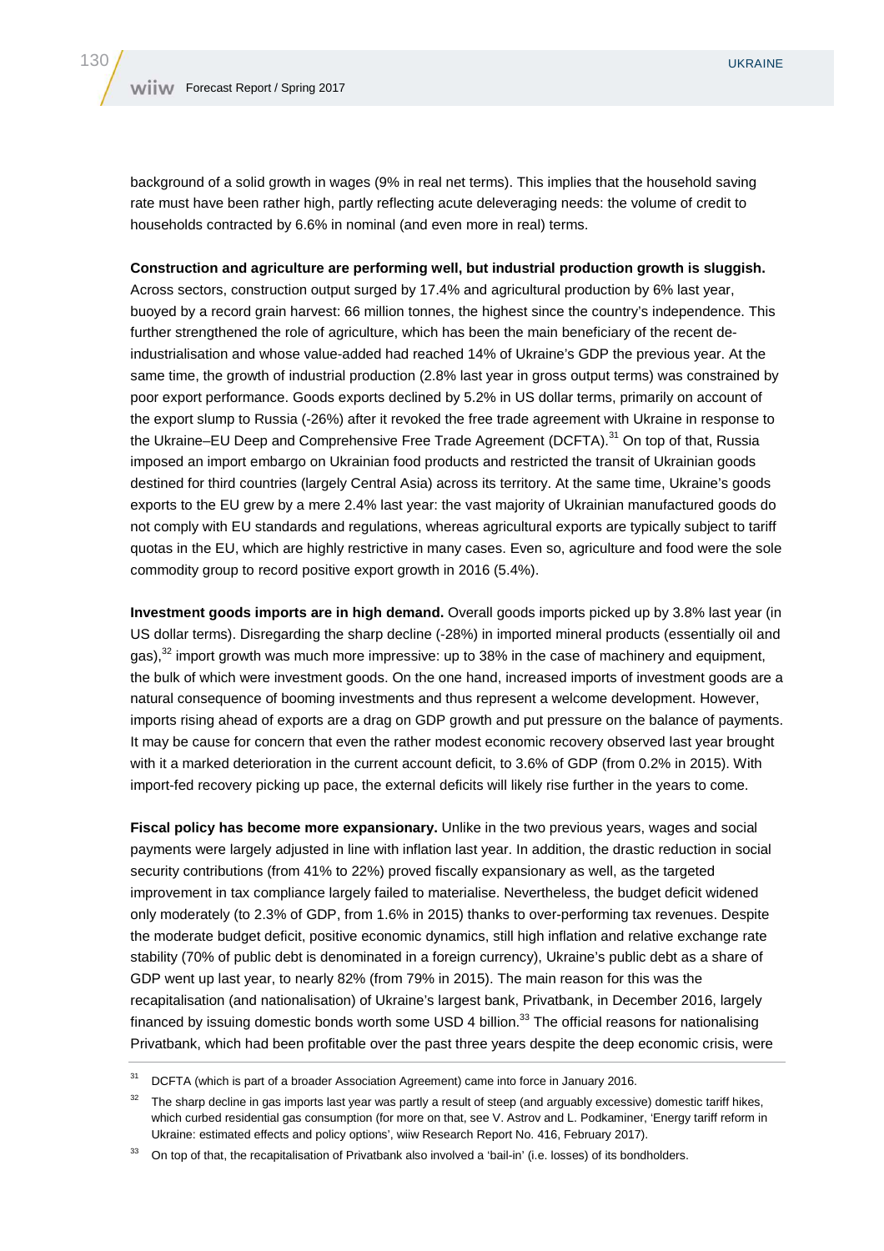background of a solid growth in wages (9% in real net terms). This implies that the household saving rate must have been rather high, partly reflecting acute deleveraging needs: the volume of credit to households contracted by 6.6% in nominal (and even more in real) terms.

**Construction and agriculture are performing well, but industrial production growth is sluggish.**  Across sectors, construction output surged by 17.4% and agricultural production by 6% last year, buoyed by a record grain harvest: 66 million tonnes, the highest since the country's independence. This further strengthened the role of agriculture, which has been the main beneficiary of the recent deindustrialisation and whose value-added had reached 14% of Ukraine's GDP the previous year. At the

same time, the growth of industrial production (2.8% last year in gross output terms) was constrained by poor export performance. Goods exports declined by 5.2% in US dollar terms, primarily on account of the export slump to Russia (-26%) after it revoked the free trade agreement with Ukraine in response to the Ukraine–EU Deep and Comprehensive Free Trade Agreement (DCFTA).<sup>31</sup> On top of that, Russia imposed an import embargo on Ukrainian food products and restricted the transit of Ukrainian goods destined for third countries (largely Central Asia) across its territory. At the same time, Ukraine's goods exports to the EU grew by a mere 2.4% last year: the vast majority of Ukrainian manufactured goods do not comply with EU standards and regulations, whereas agricultural exports are typically subject to tariff quotas in the EU, which are highly restrictive in many cases. Even so, agriculture and food were the sole commodity group to record positive export growth in 2016 (5.4%).

**Investment goods imports are in high demand.** Overall goods imports picked up by 3.8% last year (in US dollar terms). Disregarding the sharp decline (-28%) in imported mineral products (essentially oil and gas), $32$  import growth was much more impressive: up to 38% in the case of machinery and equipment, the bulk of which were investment goods. On the one hand, increased imports of investment goods are a natural consequence of booming investments and thus represent a welcome development. However, imports rising ahead of exports are a drag on GDP growth and put pressure on the balance of payments. It may be cause for concern that even the rather modest economic recovery observed last year brought with it a marked deterioration in the current account deficit, to 3.6% of GDP (from 0.2% in 2015). With import-fed recovery picking up pace, the external deficits will likely rise further in the years to come.

**Fiscal policy has become more expansionary.** Unlike in the two previous years, wages and social payments were largely adjusted in line with inflation last year. In addition, the drastic reduction in social security contributions (from 41% to 22%) proved fiscally expansionary as well, as the targeted improvement in tax compliance largely failed to materialise. Nevertheless, the budget deficit widened only moderately (to 2.3% of GDP, from 1.6% in 2015) thanks to over-performing tax revenues. Despite the moderate budget deficit, positive economic dynamics, still high inflation and relative exchange rate stability (70% of public debt is denominated in a foreign currency), Ukraine's public debt as a share of GDP went up last year, to nearly 82% (from 79% in 2015). The main reason for this was the recapitalisation (and nationalisation) of Ukraine's largest bank, Privatbank, in December 2016, largely financed by issuing domestic bonds worth some USD 4 billion.<sup>33</sup> The official reasons for nationalising Privatbank, which had been profitable over the past three years despite the deep economic crisis, were

<sup>&</sup>lt;sup>31</sup> DCFTA (which is part of a broader Association Agreement) came into force in January 2016.

 $32$  The sharp decline in gas imports last year was partly a result of steep (and arguably excessive) domestic tariff hikes, which curbed residential gas consumption (for more on that, see V. Astrov and L. Podkaminer, 'Energy tariff reform in Ukraine: estimated effects and policy options', wiiw Research Report No. 416, February 2017).

<sup>33</sup> On top of that, the recapitalisation of Privatbank also involved a 'bail-in' (i.e. losses) of its bondholders.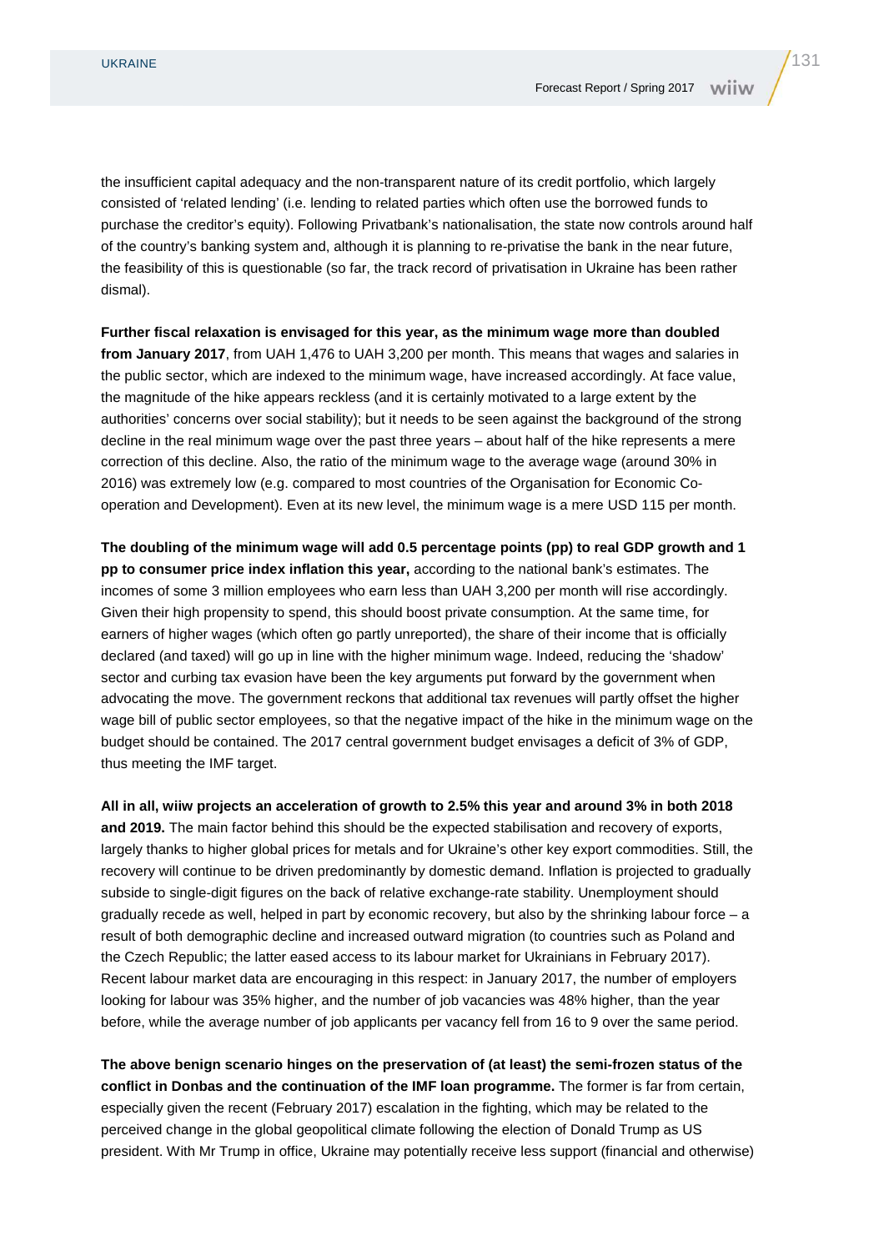the insufficient capital adequacy and the non-transparent nature of its credit portfolio, which largely consisted of 'related lending' (i.e. lending to related parties which often use the borrowed funds to purchase the creditor's equity). Following Privatbank's nationalisation, the state now controls around half of the country's banking system and, although it is planning to re-privatise the bank in the near future, the feasibility of this is questionable (so far, the track record of privatisation in Ukraine has been rather dismal).

## **Further fiscal relaxation is envisaged for this year, as the minimum wage more than doubled**

**from January 2017**, from UAH 1,476 to UAH 3,200 per month. This means that wages and salaries in the public sector, which are indexed to the minimum wage, have increased accordingly. At face value, the magnitude of the hike appears reckless (and it is certainly motivated to a large extent by the authorities' concerns over social stability); but it needs to be seen against the background of the strong decline in the real minimum wage over the past three years – about half of the hike represents a mere correction of this decline. Also, the ratio of the minimum wage to the average wage (around 30% in 2016) was extremely low (e.g. compared to most countries of the Organisation for Economic Cooperation and Development). Even at its new level, the minimum wage is a mere USD 115 per month.

**The doubling of the minimum wage will add 0.5 percentage points (pp) to real GDP growth and 1 pp to consumer price index inflation this year,** according to the national bank's estimates. The incomes of some 3 million employees who earn less than UAH 3,200 per month will rise accordingly. Given their high propensity to spend, this should boost private consumption. At the same time, for earners of higher wages (which often go partly unreported), the share of their income that is officially declared (and taxed) will go up in line with the higher minimum wage. Indeed, reducing the 'shadow' sector and curbing tax evasion have been the key arguments put forward by the government when advocating the move. The government reckons that additional tax revenues will partly offset the higher wage bill of public sector employees, so that the negative impact of the hike in the minimum wage on the budget should be contained. The 2017 central government budget envisages a deficit of 3% of GDP, thus meeting the IMF target.

**All in all, wiiw projects an acceleration of growth to 2.5% this year and around 3% in both 2018 and 2019.** The main factor behind this should be the expected stabilisation and recovery of exports, largely thanks to higher global prices for metals and for Ukraine's other key export commodities. Still, the recovery will continue to be driven predominantly by domestic demand. Inflation is projected to gradually subside to single-digit figures on the back of relative exchange-rate stability. Unemployment should gradually recede as well, helped in part by economic recovery, but also by the shrinking labour force – a result of both demographic decline and increased outward migration (to countries such as Poland and the Czech Republic; the latter eased access to its labour market for Ukrainians in February 2017). Recent labour market data are encouraging in this respect: in January 2017, the number of employers looking for labour was 35% higher, and the number of job vacancies was 48% higher, than the year before, while the average number of job applicants per vacancy fell from 16 to 9 over the same period.

**The above benign scenario hinges on the preservation of (at least) the semi-frozen status of the conflict in Donbas and the continuation of the IMF loan programme.** The former is far from certain, especially given the recent (February 2017) escalation in the fighting, which may be related to the perceived change in the global geopolitical climate following the election of Donald Trump as US president. With Mr Trump in office, Ukraine may potentially receive less support (financial and otherwise)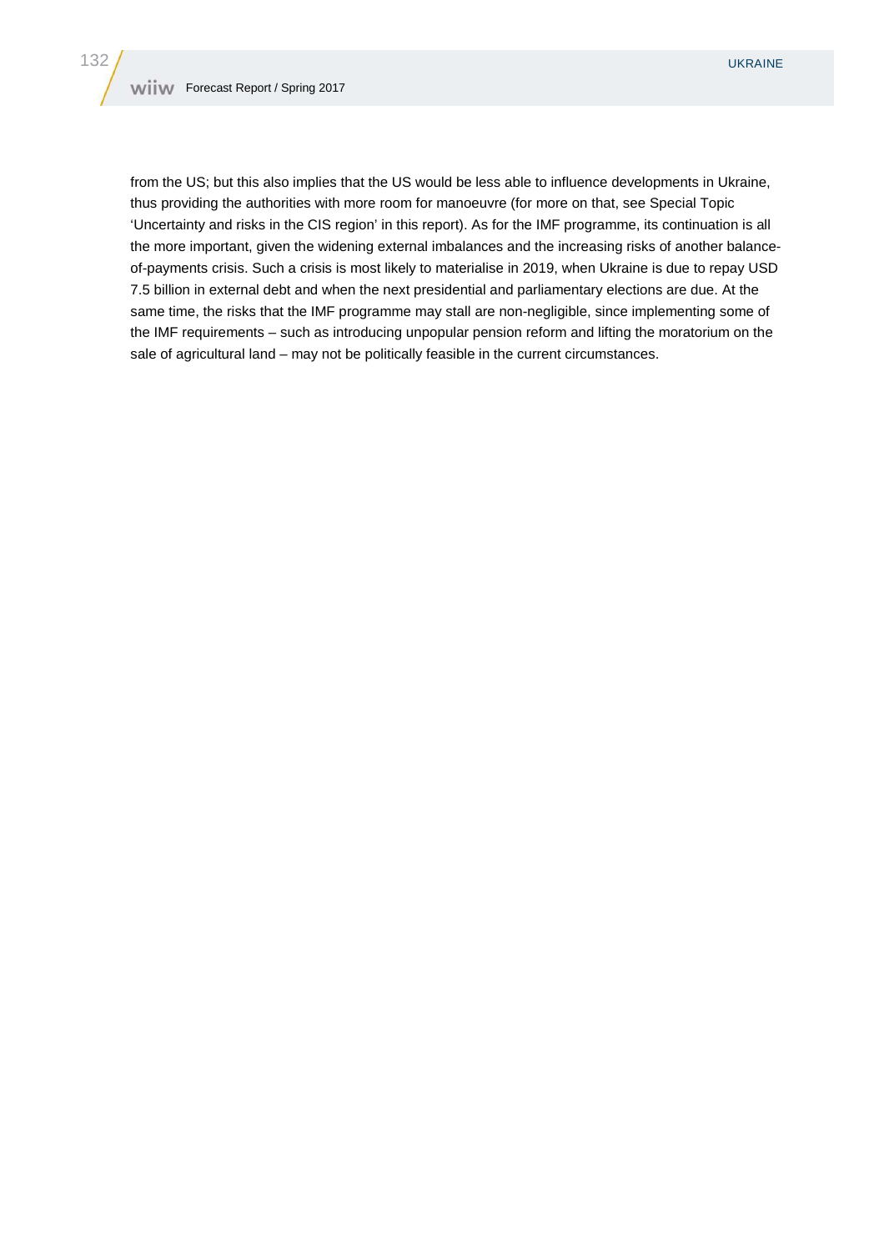from the US; but this also implies that the US would be less able to influence developments in Ukraine, thus providing the authorities with more room for manoeuvre (for more on that, see Special Topic 'Uncertainty and risks in the CIS region' in this report). As for the IMF programme, its continuation is all the more important, given the widening external imbalances and the increasing risks of another balanceof-payments crisis. Such a crisis is most likely to materialise in 2019, when Ukraine is due to repay USD 7.5 billion in external debt and when the next presidential and parliamentary elections are due. At the same time, the risks that the IMF programme may stall are non-negligible, since implementing some of the IMF requirements – such as introducing unpopular pension reform and lifting the moratorium on the sale of agricultural land – may not be politically feasible in the current circumstances.